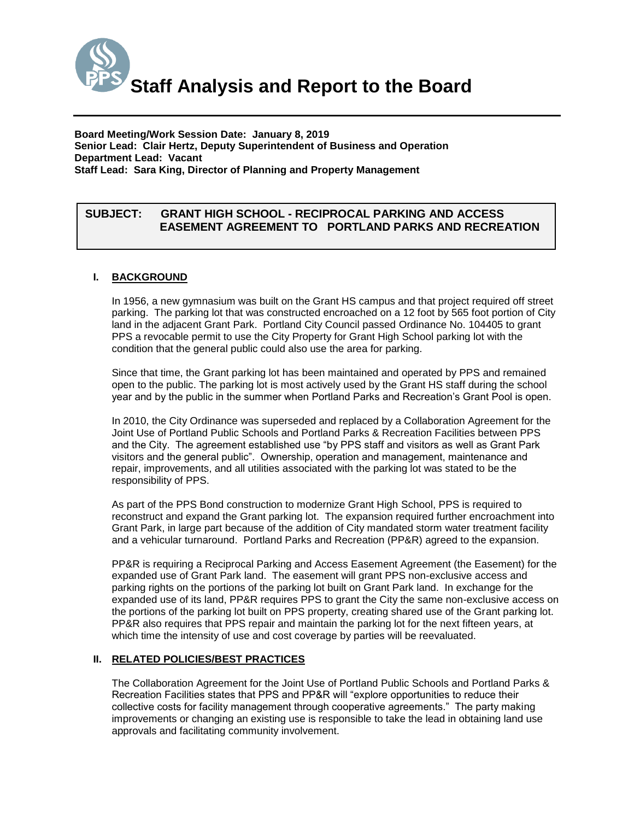

**Board Meeting/Work Session Date: January 8, 2019 Senior Lead: Clair Hertz, Deputy Superintendent of Business and Operation Department Lead: Vacant Staff Lead: Sara King, Director of Planning and Property Management**

# *(Use this section to briefly explain the item—2-3 sentences)* **SUBJECT: GRANT HIGH SCHOOL - RECIPROCAL PARKING AND ACCESS EASEMENT AGREEMENT TO PORTLAND PARKS AND RECREATION**

# **I. BACKGROUND**

In 1956, a new gymnasium was built on the Grant HS campus and that project required off street parking. The parking lot that was constructed encroached on a 12 foot by 565 foot portion of City land in the adjacent Grant Park. Portland City Council passed Ordinance No. 104405 to grant PPS a revocable permit to use the City Property for Grant High School parking lot with the condition that the general public could also use the area for parking.

Since that time, the Grant parking lot has been maintained and operated by PPS and remained open to the public. The parking lot is most actively used by the Grant HS staff during the school year and by the public in the summer when Portland Parks and Recreation's Grant Pool is open.

In 2010, the City Ordinance was superseded and replaced by a Collaboration Agreement for the Joint Use of Portland Public Schools and Portland Parks & Recreation Facilities between PPS and the City. The agreement established use "by PPS staff and visitors as well as Grant Park visitors and the general public". Ownership, operation and management, maintenance and repair, improvements, and all utilities associated with the parking lot was stated to be the responsibility of PPS.

As part of the PPS Bond construction to modernize Grant High School, PPS is required to reconstruct and expand the Grant parking lot. The expansion required further encroachment into Grant Park, in large part because of the addition of City mandated storm water treatment facility and a vehicular turnaround. Portland Parks and Recreation (PP&R) agreed to the expansion.

PP&R is requiring a Reciprocal Parking and Access Easement Agreement (the Easement) for the expanded use of Grant Park land. The easement will grant PPS non-exclusive access and parking rights on the portions of the parking lot built on Grant Park land. In exchange for the expanded use of its land, PP&R requires PPS to grant the City the same non-exclusive access on the portions of the parking lot built on PPS property, creating shared use of the Grant parking lot. PP&R also requires that PPS repair and maintain the parking lot for the next fifteen years, at which time the intensity of use and cost coverage by parties will be reevaluated.

# **II. RELATED POLICIES/BEST PRACTICES**

The Collaboration Agreement for the Joint Use of Portland Public Schools and Portland Parks & Recreation Facilities states that PPS and PP&R will "explore opportunities to reduce their collective costs for facility management through cooperative agreements." The party making improvements or changing an existing use is responsible to take the lead in obtaining land use approvals and facilitating community involvement.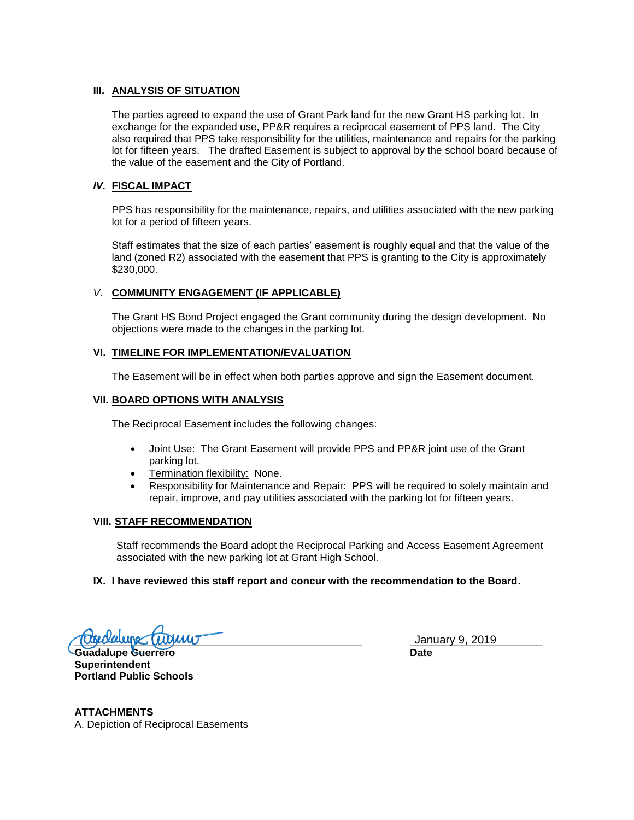# **III. ANALYSIS OF SITUATION**

The parties agreed to expand the use of Grant Park land for the new Grant HS parking lot. In exchange for the expanded use, PP&R requires a reciprocal easement of PPS land. The City also required that PPS take responsibility for the utilities, maintenance and repairs for the parking lot for fifteen years. The drafted Easement is subject to approval by the school board because of the value of the easement and the City of Portland.

### *IV.* **FISCAL IMPACT**

PPS has responsibility for the maintenance, repairs, and utilities associated with the new parking lot for a period of fifteen years.

Staff estimates that the size of each parties' easement is roughly equal and that the value of the land (zoned R2) associated with the easement that PPS is granting to the City is approximately \$230,000.

# *V.* **COMMUNITY ENGAGEMENT (IF APPLICABLE)**

The Grant HS Bond Project engaged the Grant community during the design development. No objections were made to the changes in the parking lot.

### **VI. TIMELINE FOR IMPLEMENTATION/EVALUATION**

The Easement will be in effect when both parties approve and sign the Easement document.

#### **VII. BOARD OPTIONS WITH ANALYSIS**

The Reciprocal Easement includes the following changes:

- Joint Use: The Grant Easement will provide PPS and PP&R joint use of the Grant parking lot.
- Termination flexibility: None.
- Responsibility for Maintenance and Repair: PPS will be required to solely maintain and repair, improve, and pay utilities associated with the parking lot for fifteen years.

#### **VIII. STAFF RECOMMENDATION**

Staff recommends the Board adopt the Reciprocal Parking and Access Easement Agreement associated with the new parking lot at Grant High School.

#### **IX. I have reviewed this staff report and concur with the recommendation to the Board.**

**Tube Lube Cube Cube Cube Community** 1 anisotropy 1 and 1 anisotropy 1 and 1 anisotropy 1 and 1 anisotropy 1 and 1 anisotropy 1 and 1 anisotropy 1 anisotropy 1 and 1 anisotropy 1 and 1 anisotropy 1 and 1 anisotropy 1 and 1

**Guadalupe Guerrero Date Superintendent Portland Public Schools**

**ATTACHMENTS** A. Depiction of Reciprocal Easements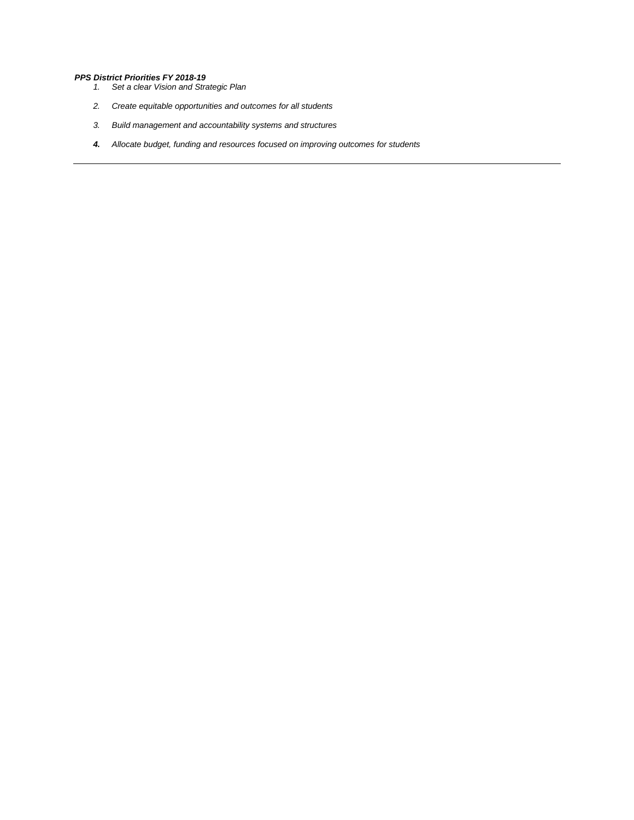#### *PPS District Priorities FY 2018-19*

- *1. Set a clear Vision and Strategic Plan*
- *2. Create equitable opportunities and outcomes for all students*
- *3. Build management and accountability systems and structures*
- *4. Allocate budget, funding and resources focused on improving outcomes for students*